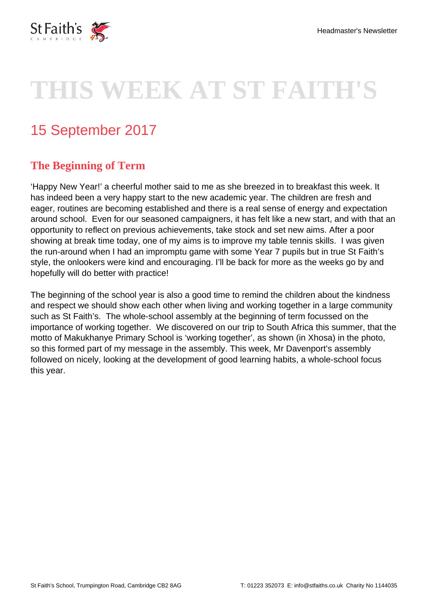

# **THIS WEEK AT ST FAITH'S**

# 15 September 2017

#### **The Beginning of Term**

'Happy New Year!' a cheerful mother said to me as she breezed in to breakfast this week. It has indeed been a very happy start to the new academic year. The children are fresh and eager, routines are becoming established and there is a real sense of energy and expectation around school. Even for our seasoned campaigners, it has felt like a new start, and with that an opportunity to reflect on previous achievements, take stock and set new aims. After a poor showing at break time today, one of my aims is to improve my table tennis skills. I was given the run-around when I had an impromptu game with some Year 7 pupils but in true St Faith's style, the onlookers were kind and encouraging. I'll be back for more as the weeks go by and hopefully will do better with practice!

The beginning of the school year is also a good time to remind the children about the kindness and respect we should show each other when living and working together in a large community such as St Faith's. The whole-school assembly at the beginning of term focussed on the importance of working together. We discovered on our trip to South Africa this summer, that the motto of Makukhanye Primary School is 'working together', as shown (in Xhosa) in the photo, so this formed part of my message in the assembly. This week, Mr Davenport's assembly followed on nicely, looking at the development of good learning habits, a whole-school focus this year.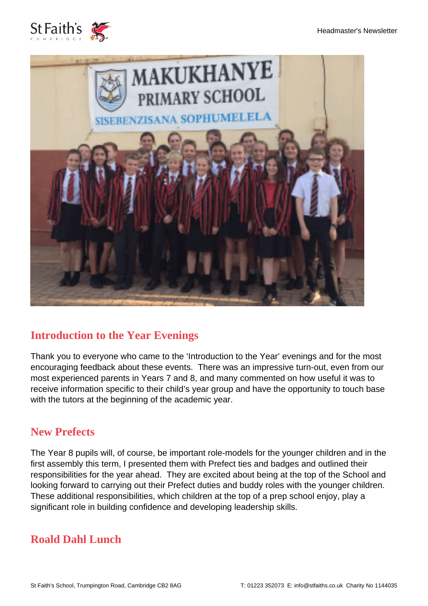



#### **Introduction to the Year Evenings**

Thank you to everyone who came to the 'Introduction to the Year' evenings and for the most encouraging feedback about these events. There was an impressive turn-out, even from our most experienced parents in Years 7 and 8, and many commented on how useful it was to receive information specific to their child's year group and have the opportunity to touch base with the tutors at the beginning of the academic year.

#### **New Prefects**

The Year 8 pupils will, of course, be important role-models for the younger children and in the first assembly this term, I presented them with Prefect ties and badges and outlined their responsibilities for the year ahead. They are excited about being at the top of the School and looking forward to carrying out their Prefect duties and buddy roles with the younger children. These additional responsibilities, which children at the top of a prep school enjoy, play a significant role in building confidence and developing leadership skills.

#### **Roald Dahl Lunch**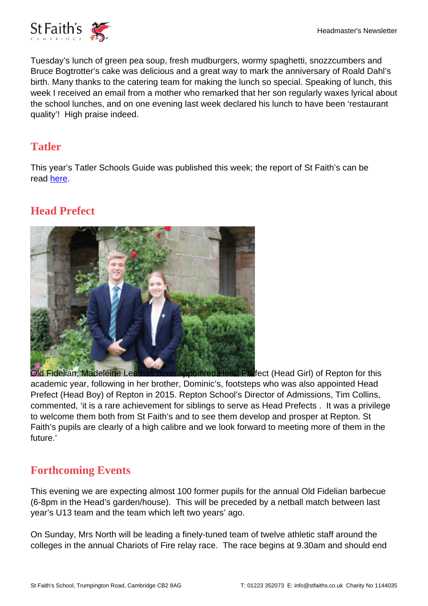

Tuesday's lunch of green pea soup, fresh mudburgers, wormy spaghetti, snozzcumbers and Bruce Bogtrotter's cake was delicious and a great way to mark the anniversary of Roald Dahl's birth. Many thanks to the catering team for making the lunch so special. Speaking of lunch, this week I received an email from a mother who remarked that her son regularly waxes lyrical about the school lunches, and on one evening last week declared his lunch to have been 'restaurant quality'! High praise indeed.

#### **Tatler**

This year's Tatler Schools Guide was published this week; the report of St Faith's can be read [here.](https://www.stfaiths.co.uk/tatler-schools-guide-2018/)

## **Head Prefect**



[Old Fidelian, Madeleine Lea has been appointed Head Pref](https://www.stfaiths.co.uk/wp-content/uploads/2017/09/Repton.png)ect (Head Girl) of Repton for this academic year, following in her brother, Dominic's, footsteps who was also appointed Head Prefect (Head Boy) of Repton in 2015. Repton School's Director of Admissions, Tim Collins, commented, 'it is a rare achievement for siblings to serve as Head Prefects . It was a privilege to welcome them both from St Faith's and to see them develop and prosper at Repton. St Faith's pupils are clearly of a high calibre and we look forward to meeting more of them in the future.'

#### **Forthcoming Events**

This evening we are expecting almost 100 former pupils for the annual Old Fidelian barbecue (6-8pm in the Head's garden/house). This will be preceded by a netball match between last year's U13 team and the team which left two years' ago.

On Sunday, Mrs North will be leading a finely-tuned team of twelve athletic staff around the colleges in the annual Chariots of Fire relay race. The race begins at 9.30am and should end